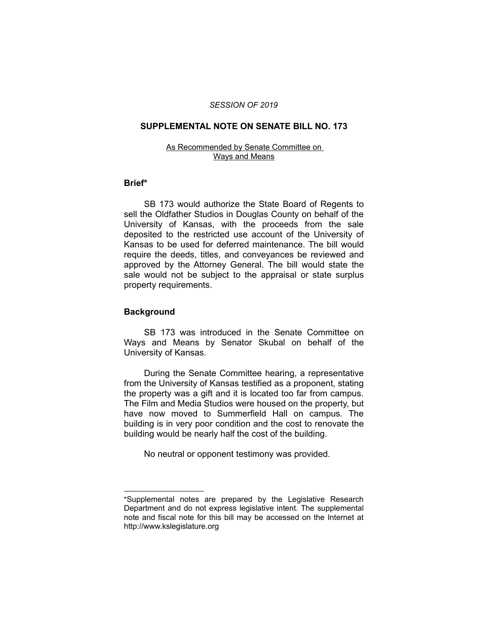### *SESSION OF 2019*

# **SUPPLEMENTAL NOTE ON SENATE BILL NO. 173**

#### As Recommended by Senate Committee on Ways and Means

### **Brief\***

SB 173 would authorize the State Board of Regents to sell the Oldfather Studios in Douglas County on behalf of the University of Kansas, with the proceeds from the sale deposited to the restricted use account of the University of Kansas to be used for deferred maintenance. The bill would require the deeds, titles, and conveyances be reviewed and approved by the Attorney General. The bill would state the sale would not be subject to the appraisal or state surplus property requirements.

## **Background**

 $\overline{\phantom{a}}$  , where  $\overline{\phantom{a}}$ 

SB 173 was introduced in the Senate Committee on Ways and Means by Senator Skubal on behalf of the University of Kansas.

During the Senate Committee hearing, a representative from the University of Kansas testified as a proponent, stating the property was a gift and it is located too far from campus. The Film and Media Studios were housed on the property, but have now moved to Summerfield Hall on campus. The building is in very poor condition and the cost to renovate the building would be nearly half the cost of the building.

No neutral or opponent testimony was provided.

<sup>\*</sup>Supplemental notes are prepared by the Legislative Research Department and do not express legislative intent. The supplemental note and fiscal note for this bill may be accessed on the Internet at http://www.kslegislature.org